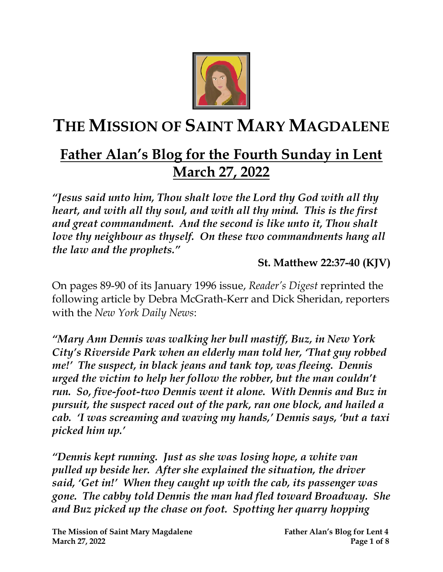

# **THE MISSION OF SAINT MARY MAGDALENE**

## **Father Alan's Blog for the Fourth Sunday in Lent March 27, 2022**

*"Jesus said unto him, Thou shalt love the Lord thy God with all thy heart, and with all thy soul, and with all thy mind. This is the first and great commandment. And the second is like unto it, Thou shalt love thy neighbour as thyself. On these two commandments hang all the law and the prophets."*

**St. Matthew 22:37-40 (KJV)**

On pages 89-90 of its January 1996 issue, *Reader's Digest* reprinted the following article by Debra McGrath-Kerr and Dick Sheridan, reporters with the *New York Daily News*:

*"Mary Ann Dennis was walking her bull mastiff, Buz, in New York City's Riverside Park when an elderly man told her, 'That guy robbed me!' The suspect, in black jeans and tank top, was fleeing. Dennis urged the victim to help her follow the robber, but the man couldn't run. So, five-foot-two Dennis went it alone. With Dennis and Buz in pursuit, the suspect raced out of the park, ran one block, and hailed a cab. 'I was screaming and waving my hands,' Dennis says, 'but a taxi picked him up.'*

*"Dennis kept running. Just as she was losing hope, a white van pulled up beside her. After she explained the situation, the driver said, 'Get in!' When they caught up with the cab, its passenger was gone. The cabby told Dennis the man had fled toward Broadway. She and Buz picked up the chase on foot. Spotting her quarry hopping*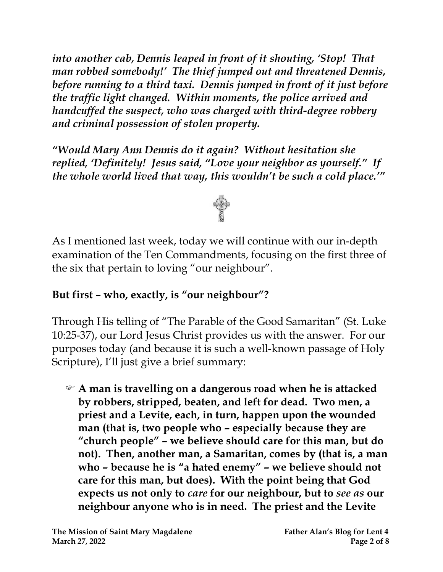*into another cab, Dennis leaped in front of it shouting, 'Stop! That man robbed somebody!' The thief jumped out and threatened Dennis, before running to a third taxi. Dennis jumped in front of it just before the traffic light changed. Within moments, the police arrived and handcuffed the suspect, who was charged with third-degree robbery and criminal possession of stolen property.*

*"Would Mary Ann Dennis do it again? Without hesitation she replied, 'Definitely! Jesus said, "Love your neighbor as yourself." If the whole world lived that way, this wouldn't be such a cold place.'"*



As I mentioned last week, today we will continue with our in-depth examination of the Ten Commandments, focusing on the first three of the six that pertain to loving "our neighbour".

#### **But first – who, exactly, is "our neighbour"?**

Through His telling of "The Parable of the Good Samaritan" (St. Luke 10:25-37), our Lord Jesus Christ provides us with the answer. For our purposes today (and because it is such a well-known passage of Holy Scripture), I'll just give a brief summary:

 **A man is travelling on a dangerous road when he is attacked by robbers, stripped, beaten, and left for dead. Two men, a priest and a Levite, each, in turn, happen upon the wounded man (that is, two people who – especially because they are "church people" – we believe should care for this man, but do not). Then, another man, a Samaritan, comes by (that is, a man who – because he is "a hated enemy" – we believe should not care for this man, but does). With the point being that God expects us not only to** *care* **for our neighbour, but to** *see as* **our neighbour anyone who is in need. The priest and the Levite**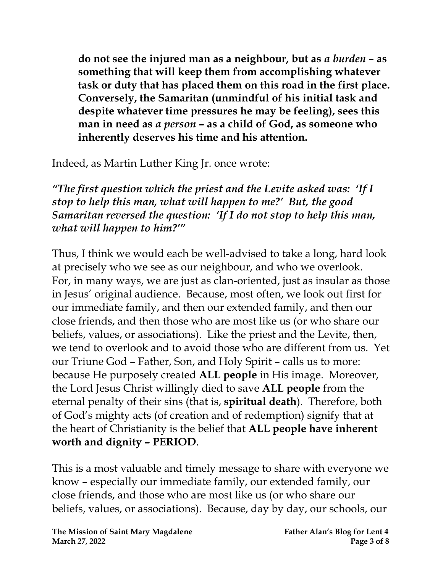**do not see the injured man as a neighbour, but as** *a burden* **– as something that will keep them from accomplishing whatever task or duty that has placed them on this road in the first place. Conversely, the Samaritan (unmindful of his initial task and despite whatever time pressures he may be feeling), sees this man in need as** *a person* **– as a child of God, as someone who inherently deserves his time and his attention.**

Indeed, as Martin Luther King Jr. once wrote:

*"The first question which the priest and the Levite asked was: 'If I stop to help this man, what will happen to me?' But, the good Samaritan reversed the question: 'If I do not stop to help this man, what will happen to him?'"* 

Thus, I think we would each be well-advised to take a long, hard look at precisely who we see as our neighbour, and who we overlook. For, in many ways, we are just as clan-oriented, just as insular as those in Jesus' original audience. Because, most often, we look out first for our immediate family, and then our extended family, and then our close friends, and then those who are most like us (or who share our beliefs, values, or associations). Like the priest and the Levite, then, we tend to overlook and to avoid those who are different from us. Yet our Triune God – Father, Son, and Holy Spirit – calls us to more: because He purposely created **ALL people** in His image. Moreover, the Lord Jesus Christ willingly died to save **ALL people** from the eternal penalty of their sins (that is, **spiritual death**). Therefore, both of God's mighty acts (of creation and of redemption) signify that at the heart of Christianity is the belief that **ALL people have inherent worth and dignity – PERIOD**.

This is a most valuable and timely message to share with everyone we know – especially our immediate family, our extended family, our close friends, and those who are most like us (or who share our beliefs, values, or associations). Because, day by day, our schools, our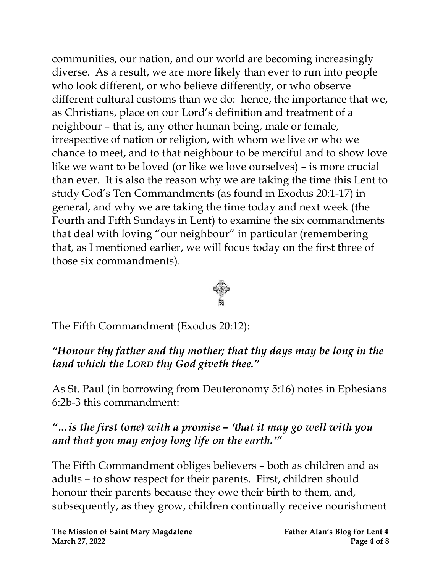communities, our nation, and our world are becoming increasingly diverse. As a result, we are more likely than ever to run into people who look different, or who believe differently, or who observe different cultural customs than we do: hence, the importance that we, as Christians, place on our Lord's definition and treatment of a neighbour – that is, any other human being, male or female, irrespective of nation or religion, with whom we live or who we chance to meet, and to that neighbour to be merciful and to show love like we want to be loved (or like we love ourselves) – is more crucial than ever. It is also the reason why we are taking the time this Lent to study God's Ten Commandments (as found in Exodus 20:1-17) in general, and why we are taking the time today and next week (the Fourth and Fifth Sundays in Lent) to examine the six commandments that deal with loving "our neighbour" in particular (remembering that, as I mentioned earlier, we will focus today on the first three of those six commandments).



The Fifth Commandment (Exodus 20:12):

*"Honour thy father and thy mother; that thy days may be long in the land which the LORD thy God giveth thee."*

As St. Paul (in borrowing from Deuteronomy 5:16) notes in Ephesians 6:2b-3 this commandment:

*"…is the first (one) with a promise – ʻthat it may go well with you and that you may enjoy long life on the earth.'"* 

The Fifth Commandment obliges believers – both as children and as adults – to show respect for their parents. First, children should honour their parents because they owe their birth to them, and, subsequently, as they grow, children continually receive nourishment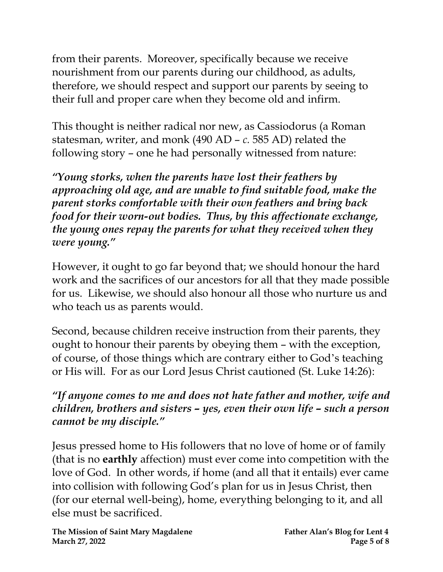from their parents. Moreover, specifically because we receive nourishment from our parents during our childhood, as adults, therefore, we should respect and support our parents by seeing to their full and proper care when they become old and infirm.

This thought is neither radical nor new, as Cassiodorus (a Roman statesman, writer, and monk (490 AD – *c.* 585 AD) related the following story – one he had personally witnessed from nature:

*"Young storks, when the parents have lost their feathers by approaching old age, and are unable to find suitable food, make the parent storks comfortable with their own feathers and bring back food for their worn-out bodies. Thus, by this affectionate exchange, the young ones repay the parents for what they received when they were young."*

However, it ought to go far beyond that; we should honour the hard work and the sacrifices of our ancestors for all that they made possible for us. Likewise, we should also honour all those who nurture us and who teach us as parents would.

Second, because children receive instruction from their parents, they ought to honour their parents by obeying them – with the exception, of course, of those things which are contrary either to God's teaching or His will. For as our Lord Jesus Christ cautioned (St. Luke 14:26):

*"If anyone comes to me and does not hate father and mother, wife and children, brothers and sisters – yes, even their own life – such a person cannot be my disciple."* 

Jesus pressed home to His followers that no love of home or of family (that is no **earthly** affection) must ever come into competition with the love of God. In other words, if home (and all that it entails) ever came into collision with following God's plan for us in Jesus Christ, then (for our eternal well-being), home, everything belonging to it, and all else must be sacrificed.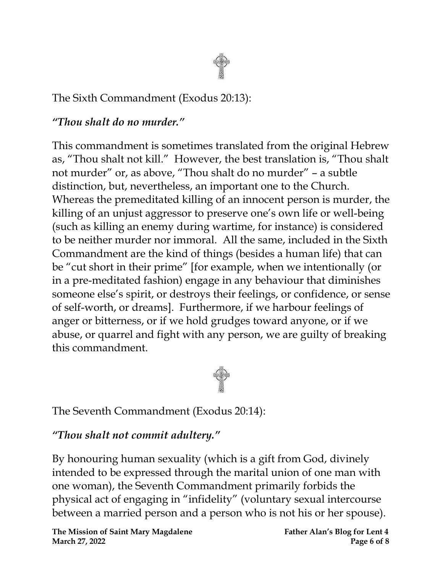

#### The Sixth Commandment (Exodus 20:13):

#### *"Thou shalt do no murder."*

This commandment is sometimes translated from the original Hebrew as, "Thou shalt not kill." However, the best translation is, "Thou shalt not murder" or, as above, "Thou shalt do no murder" – a subtle distinction, but, nevertheless, an important one to the Church. Whereas the premeditated killing of an innocent person is murder, the killing of an unjust aggressor to preserve one's own life or well-being (such as killing an enemy during wartime, for instance) is considered to be neither murder nor immoral. All the same, included in the Sixth Commandment are the kind of things (besides a human life) that can be "cut short in their prime" [for example, when we intentionally (or in a pre-meditated fashion) engage in any behaviour that diminishes someone else's spirit, or destroys their feelings, or confidence, or sense of self-worth, or dreams]. Furthermore, if we harbour feelings of anger or bitterness, or if we hold grudges toward anyone, or if we abuse, or quarrel and fight with any person, we are guilty of breaking this commandment.



The Seventh Commandment (Exodus 20:14):

#### *"Thou shalt not commit adultery."*

By honouring human sexuality (which is a gift from God, divinely intended to be expressed through the marital union of one man with one woman), the Seventh Commandment primarily forbids the physical act of engaging in "infidelity" (voluntary sexual intercourse between a married person and a person who is not his or her spouse).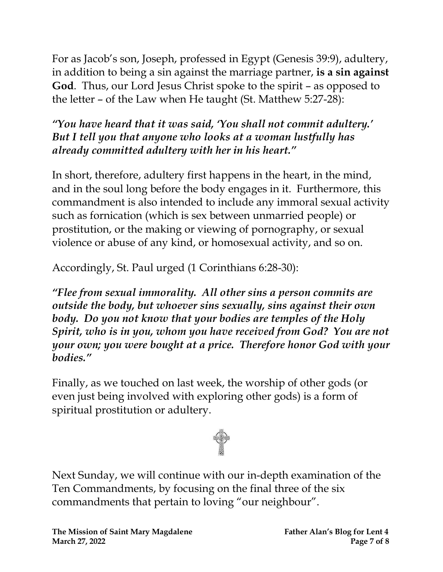For as Jacob's son, Joseph, professed in Egypt (Genesis 39:9), adultery, in addition to being a sin against the marriage partner, **is a sin against God**. Thus, our Lord Jesus Christ spoke to the spirit – as opposed to the letter – of the Law when He taught (St. Matthew 5:27-28):

#### *"You have heard that it was said, 'You shall not commit adultery.' But I tell you that anyone who looks at a woman lustfully has already committed adultery with her in his heart."*

In short, therefore, adultery first happens in the heart, in the mind, and in the soul long before the body engages in it.Furthermore, this commandment is also intended to include any immoral sexual activity such as fornication (which is sex between unmarried people) or prostitution, or the making or viewing of pornography, or sexual violence or abuse of any kind, or homosexual activity, and so on.

Accordingly, St. Paul urged (1 Corinthians 6:28-30):

*"Flee from sexual immorality. All other sins a person commits are outside the body, but whoever sins sexually, sins against their own body. Do you not know that your bodies are temples of the Holy Spirit, who is in you, whom you have received from God? You are not your own; you were bought at a price. Therefore honor God with your bodies."*

Finally, as we touched on last week, the worship of other gods (or even just being involved with exploring other gods) is a form of spiritual prostitution or adultery.



Next Sunday, we will continue with our in-depth examination of the Ten Commandments, by focusing on the final three of the six commandments that pertain to loving "our neighbour".